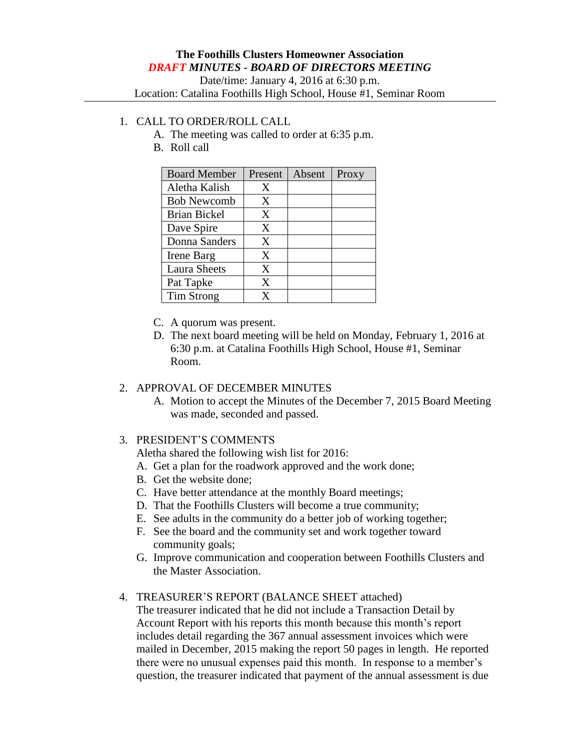# **The Foothills Clusters Homeowner Association** *DRAFT MINUTES - BOARD OF DIRECTORS MEETING*

Date/time: January 4, 2016 at 6:30 p.m.

Location: Catalina Foothills High School, House #1, Seminar Room

### 1. CALL TO ORDER/ROLL CALL

- A. The meeting was called to order at 6:35 p.m.
- B. Roll call

| <b>Board Member</b> | Present | Absent | Proxy |
|---------------------|---------|--------|-------|
| Aletha Kalish       | X       |        |       |
| <b>Bob Newcomb</b>  | X       |        |       |
| <b>Brian Bickel</b> | X       |        |       |
| Dave Spire          | X       |        |       |
| Donna Sanders       | X       |        |       |
| Irene Barg          | X       |        |       |
| <b>Laura Sheets</b> | X       |        |       |
| Pat Tapke           | X       |        |       |
| Tim Strong          | x       |        |       |

- C. A quorum was present.
- D. The next board meeting will be held on Monday, February 1, 2016 at 6:30 p.m. at Catalina Foothills High School, House #1, Seminar Room.

# 2. APPROVAL OF DECEMBER MINUTES

A. Motion to accept the Minutes of the December 7, 2015 Board Meeting was made, seconded and passed.

### 3. PRESIDENT'S COMMENTS

Aletha shared the following wish list for 2016:

- A. Get a plan for the roadwork approved and the work done;
- B. Get the website done;
- C. Have better attendance at the monthly Board meetings;
- D. That the Foothills Clusters will become a true community;
- E. See adults in the community do a better job of working together;
- F. See the board and the community set and work together toward community goals;
- G. Improve communication and cooperation between Foothills Clusters and the Master Association.

### 4. TREASURER'S REPORT (BALANCE SHEET attached)

The treasurer indicated that he did not include a Transaction Detail by Account Report with his reports this month because this month's report includes detail regarding the 367 annual assessment invoices which were mailed in December, 2015 making the report 50 pages in length. He reported there were no unusual expenses paid this month. In response to a member's question, the treasurer indicated that payment of the annual assessment is due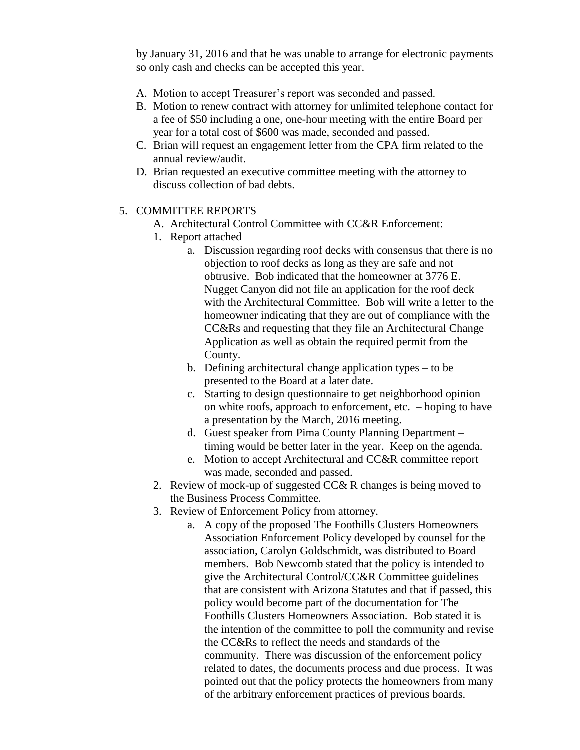by January 31, 2016 and that he was unable to arrange for electronic payments so only cash and checks can be accepted this year.

- A. Motion to accept Treasurer's report was seconded and passed.
- B. Motion to renew contract with attorney for unlimited telephone contact for a fee of \$50 including a one, one-hour meeting with the entire Board per year for a total cost of \$600 was made, seconded and passed.
- C. Brian will request an engagement letter from the CPA firm related to the annual review/audit.
- D. Brian requested an executive committee meeting with the attorney to discuss collection of bad debts.

### 5. COMMITTEE REPORTS

- A. Architectural Control Committee with CC&R Enforcement:
- 1. Report attached
	- a. Discussion regarding roof decks with consensus that there is no objection to roof decks as long as they are safe and not obtrusive. Bob indicated that the homeowner at 3776 E. Nugget Canyon did not file an application for the roof deck with the Architectural Committee. Bob will write a letter to the homeowner indicating that they are out of compliance with the CC&Rs and requesting that they file an Architectural Change Application as well as obtain the required permit from the County.
	- b. Defining architectural change application types to be presented to the Board at a later date.
	- c. Starting to design questionnaire to get neighborhood opinion on white roofs, approach to enforcement, etc. – hoping to have a presentation by the March, 2016 meeting.
	- d. Guest speaker from Pima County Planning Department timing would be better later in the year. Keep on the agenda.
	- e. Motion to accept Architectural and CC&R committee report was made, seconded and passed.
- 2. Review of mock-up of suggested CC& R changes is being moved to the Business Process Committee.
- 3. Review of Enforcement Policy from attorney.
	- a. A copy of the proposed The Foothills Clusters Homeowners Association Enforcement Policy developed by counsel for the association, Carolyn Goldschmidt, was distributed to Board members. Bob Newcomb stated that the policy is intended to give the Architectural Control/CC&R Committee guidelines that are consistent with Arizona Statutes and that if passed, this policy would become part of the documentation for The Foothills Clusters Homeowners Association. Bob stated it is the intention of the committee to poll the community and revise the CC&Rs to reflect the needs and standards of the community. There was discussion of the enforcement policy related to dates, the documents process and due process. It was pointed out that the policy protects the homeowners from many of the arbitrary enforcement practices of previous boards.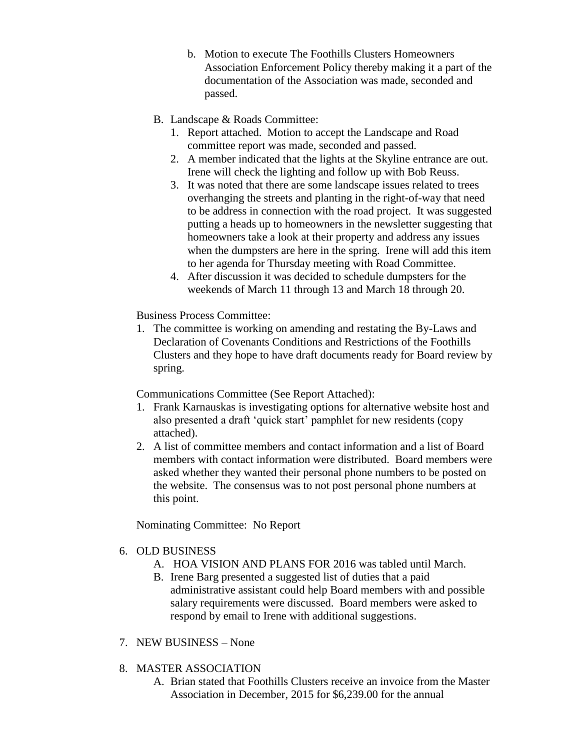- b. Motion to execute The Foothills Clusters Homeowners Association Enforcement Policy thereby making it a part of the documentation of the Association was made, seconded and passed.
- B. Landscape & Roads Committee:
	- 1. Report attached. Motion to accept the Landscape and Road committee report was made, seconded and passed.
	- 2. A member indicated that the lights at the Skyline entrance are out. Irene will check the lighting and follow up with Bob Reuss.
	- 3. It was noted that there are some landscape issues related to trees overhanging the streets and planting in the right-of-way that need to be address in connection with the road project. It was suggested putting a heads up to homeowners in the newsletter suggesting that homeowners take a look at their property and address any issues when the dumpsters are here in the spring. Irene will add this item to her agenda for Thursday meeting with Road Committee.
	- 4. After discussion it was decided to schedule dumpsters for the weekends of March 11 through 13 and March 18 through 20.

Business Process Committee:

1. The committee is working on amending and restating the By-Laws and Declaration of Covenants Conditions and Restrictions of the Foothills Clusters and they hope to have draft documents ready for Board review by spring.

Communications Committee (See Report Attached):

- 1. Frank Karnauskas is investigating options for alternative website host and also presented a draft 'quick start' pamphlet for new residents (copy attached).
- 2. A list of committee members and contact information and a list of Board members with contact information were distributed. Board members were asked whether they wanted their personal phone numbers to be posted on the website. The consensus was to not post personal phone numbers at this point.

Nominating Committee: No Report

### 6. OLD BUSINESS

- A. HOA VISION AND PLANS FOR 2016 was tabled until March.
- B. Irene Barg presented a suggested list of duties that a paid administrative assistant could help Board members with and possible salary requirements were discussed. Board members were asked to respond by email to Irene with additional suggestions.

# 7. NEW BUSINESS – None

- 8. MASTER ASSOCIATION
	- A. Brian stated that Foothills Clusters receive an invoice from the Master Association in December, 2015 for \$6,239.00 for the annual